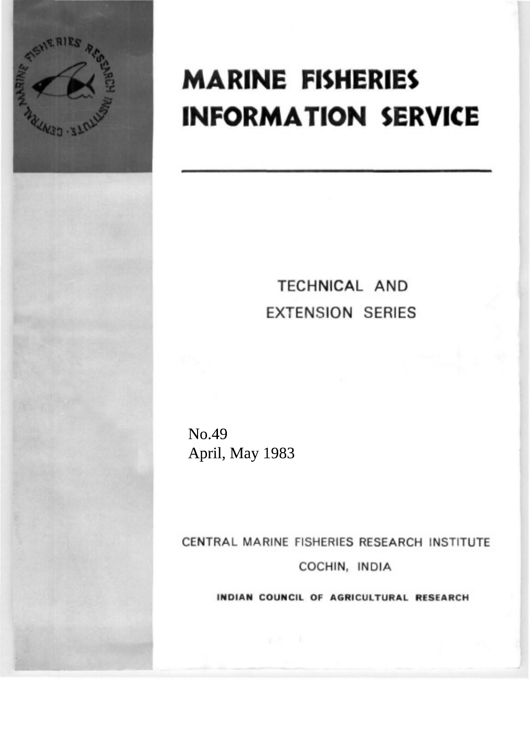

# **MARINE FISHERIES INFORMATION SERVICE**

## **TECHNICAL AND EXTENSION SERIES**

No.49 April, May 1983

CENTRAL MARINE FISHERIES RESEARCH INSTITUTE COCHIN, INDIA

INDIAN COUNCIL OF AGRICULTURAL RESEARCH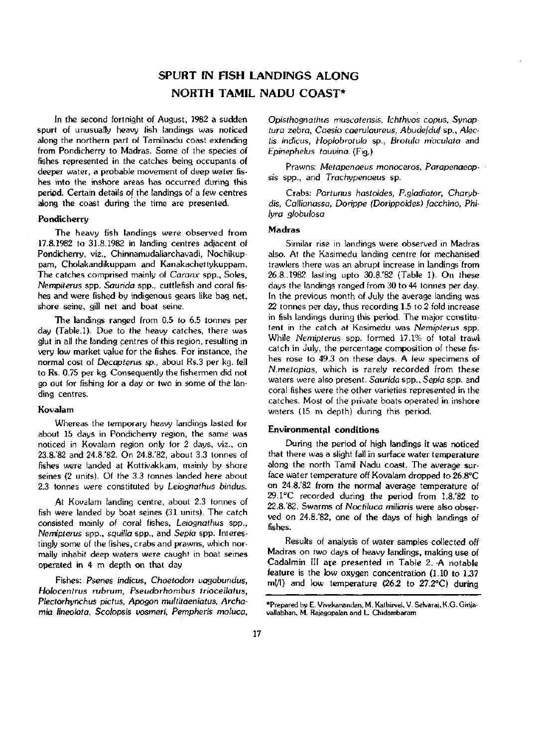### SPURT IN FISH LANDINGS ALONG NORTH TAMIL NADU COAST\*

In the second fortnight of August, 1982 a sudden spurt of unusually heavy fish landings was noticed along the northern part of Tamilnadu coast extending from Pondicherry to Madras. Some of the species of fishes represented in the catches being occupants of deeper water, a probable movement of deep water fishes into the inshore areas has occurred during this period. Certain details of the landings of a few centres along the coast during the time are presented.

#### **Pondicherry**

The heavy fish landings were observed from 17.8.1982 to 31.8.1982 in landing centres adjacent of Pondicherry, viz., Chinnamudaliarchavadi, Nochikuppam, Cholakandikuppam and Kanakachettykuppam. The catches comprised mainly of *Caranx* spp., Soles, *Nempitews* spp. *Saurida* spp., cuttlefish and coral fishes and were fished by indigenous gears like bag net, shore seine, gill net and boat seine.

The landings ranged from 0.5 to 6.5 tonnes per day (Table.1). Due to the heavy catches, there was glut in all the landing centres of this region, resulting in very low market value for the fishes. For instance, the normal cost of *Decapterus sp.,* about Rs.3 per kg. fell to Rs. 0.75 per kg. Consequently the fishermen did not go out for fishing for a day or two in some of the landing centres.

#### **Kovalam**

Whereas the temporary heavy landings lasted for about 15 days in Pondicherry region, the same was noticed in Kovalam region only for 2 days, viz., on 23.8.'82 and 24.8.'82. On 24.8.'82, about 3.3 tonnes of fishes were landed at Kottivakkam, mainly by shore seines (2 units). Of the 3.3 tonnes landed here about 2.3 tonnes were constituted by *Leiognathus bindus.* 

At Kovalam landing centre, about 2.3 tonnes of fish were landed by boat seines (31 units). The catch consisted mainly of coral fishes, *Leiognathus* spp., *Nemipterus* spp., *squilla* spp., and *Sepia* spp. Interestingly some of the fishes, crabs and prawns, which normally inhabit deep waters were caught in boat seines operated in 4 m depth on that day

Fishes: *Psenes indicus, Chaetodon uagabundus, Holocentrus rubrum, Pseudorhowbus triocellatus, Plectorh\;ncbus pictus, Apogon multitaeniatus, Archamia lineolata, Scolopsis uosmeri, Pempheris moluca,*  *Opisthognathus muscatensis, Ichthyos copus, Synaptura zebra, Caesio caerulaureus, Abudefduf sp., Alectis indicus, Hoplobrotula* sp., *Brotula m'aculata* and *Epinephelus tauvina.* (Fig.)

Prawns: *Metapenaeus monoceros, Parapenaeopsis* spp., and *Trach\,ipenaeus* sp.

Crabs: *Portunus hastoides, P.gladiator, Charx^bdis, Callianassa, Dorippe (Dorippoides) facchino, Phil\;ra globulosa* 

#### **Madras**

Similar rise in landings were observed in Madras also. At the Kasimedu landing centre for mechanised trawlers there was an abrupt increase in landings from 26.8..1982 lasting upto 30.8.'82 (Table 1). On these days the landings ranged from 30 to 44 tonnes per day. In the previous month of July the average landing was 22 tonnes per day, thus recording 1.5 to 2 fold increase in fish landings during this period. The major constitutent in the catch at Kasimedu was *Nemipterus* spp. While *Nemipterus* spp. formed 17.1% of total trawl catch in July, the percentage composition of these fishes rose to 49.3 on these days. A few specimens of *N.metopias,* which is rarely recorded from these waters were also present. *Saurida* spp.. *Sepia* spp. and coral fishes were the other varieties represented in the catches. Most of the private boats operated in inshore waters (15 m depth) during this period.

#### **Environmental conditions**

During the period of high landings it was noticed that there was a slight fall in surface water temperature along the north Tamil Nadu coast. The average surface water temperature off Kovalam dropped to 26.8°C on 24.8.'82 from the normal average temperature of 29.1°C recorded during the period from 1.8.'82 to 22.8.'82. Swarms of *Noctiluca miliaris* were also observed on 24.8.'82, one of the days of high landings of fishes.

Results of analysis of water samples collected off Madras on two days of heavy landings, making use of Cadalmin III are presented in Table 2. -A notable feature is the low oxygen concentration (1.10 to 1.37 ml/1) and low temperature (26.2 to 27.2°C) during

<sup>\*</sup>Prepared by E. Viuekanandan, M. Kathirvel, V. Selvaraj, K.G. Girijavallabhan, M. Rajagopalan and L. Chidambaram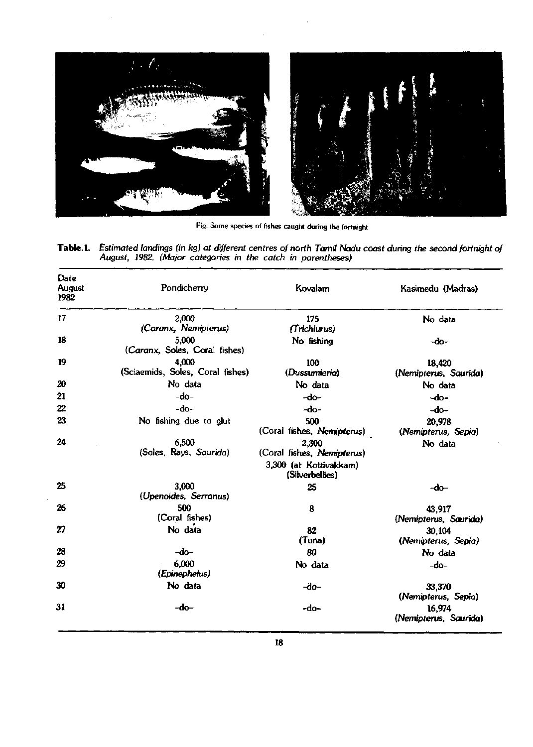

Fig. Some species of fishes caught during the fortnight

| Table.1. Estimated landings (in kg) at different centres of north Tamil Nadu coast during the second fortnight of |
|-------------------------------------------------------------------------------------------------------------------|
| August, 1982. (Major categories in the catch in parentheses)                                                      |

| Date<br>August<br>1982 | Pondicherry                               | Kovalam                                   | Kasimedu (Madras)<br>No data    |  |
|------------------------|-------------------------------------------|-------------------------------------------|---------------------------------|--|
| 17                     | 2.000                                     | 175                                       |                                 |  |
|                        | (Caranx, Nemipterus)                      | (Trichiurus)                              |                                 |  |
| 18                     | 5,000<br>(Caranx, Soles, Coral fishes)    | No fishing                                | -do-                            |  |
| 19                     | 4.000<br>(Sciaemids, Soles, Coral fishes) | 100<br>(Dussumieria)                      | 18,420<br>(Nemipterus, Saurida) |  |
| 20                     | No data                                   | No data                                   | No data                         |  |
| 21                     | $-do-$                                    | -do-                                      | $-do-$                          |  |
| 22                     | -do-                                      | -do-                                      | $-do-$                          |  |
| 23                     | No fishing due to glut                    | 500<br>(Coral fishes, Nemipterus)         | 20,978<br>(Nemipterus, Sepia)   |  |
| 24                     | 6,500<br>(Soles, Rays, Saurida)           | 2,300<br>(Coral fishes, Nemipterus)       | No data                         |  |
|                        |                                           | 3,300 (at Kottivakkam)<br>(Silverbellies) |                                 |  |
| 25                     | 3,000<br>(Upenoides, Serranus)            | 25                                        | -do-                            |  |
| 26                     | 500<br>(Coral fishes)                     | 8                                         | 43.917<br>(Nemipterus, Saurida) |  |
| 27                     | No data                                   | 82<br>(Tuna)                              | 30,104<br>(Nemipterus, Sepia)   |  |
| 28                     | -do-                                      | 80                                        | No data                         |  |
| 29                     | 6,000<br>(Epinephelus)                    | No data                                   | -do-                            |  |
| 30                     | No data                                   | -do-                                      | 33,370<br>(Nemipterus, Sepia)   |  |
| 31                     | -do-                                      | -do-                                      | 16,974<br>(Nemipterus, Saurida) |  |